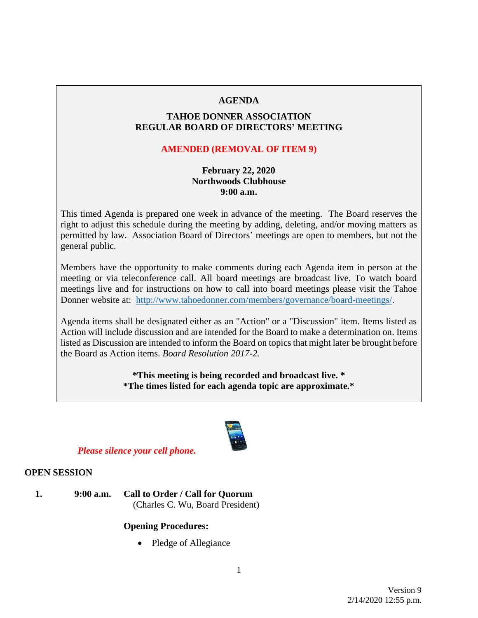## **AGENDA**

## **TAHOE DONNER ASSOCIATION REGULAR BOARD OF DIRECTORS' MEETING**

## **AMENDED (REMOVAL OF ITEM 9)**

## **February 22, 2020 Northwoods Clubhouse 9:00 a.m.**

This timed Agenda is prepared one week in advance of the meeting. The Board reserves the right to adjust this schedule during the meeting by adding, deleting, and/or moving matters as permitted by law. Association Board of Directors' meetings are open to members, but not the general public.

Members have the opportunity to make comments during each Agenda item in person at the meeting or via teleconference call. All board meetings are broadcast live. To watch board meetings live and for instructions on how to call into board meetings please visit the Tahoe Donner website at: [http://www.tahoedonner.com/members/governance/board-meetings/.](http://www.tahoedonner.com/members/governance/board-meetings/)

Agenda items shall be designated either as an "Action" or a "Discussion" item. Items listed as Action will include discussion and are intended for the Board to make a determination on. Items listed as Discussion are intended to inform the Board on topics that might later be brought before the Board as Action items. *Board Resolution 2017-2.*

> **\*This meeting is being recorded and broadcast live. \* \*The times listed for each agenda topic are approximate.\***



## *Please silence your cell phone.*

#### **OPEN SESSION**

**1. 9:00 a.m. Call to Order / Call for Quorum** (Charles C. Wu, Board President)

## **Opening Procedures:**

• Pledge of Allegiance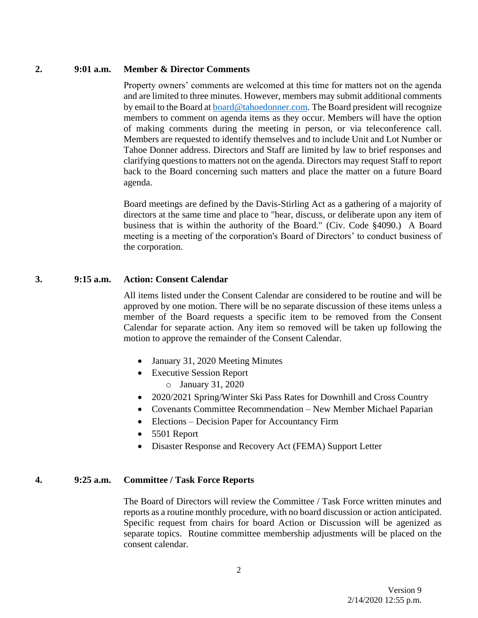#### **2. 9:01 a.m. Member & Director Comments**

Property owners' comments are welcomed at this time for matters not on the agenda and are limited to three minutes. However, members may submit additional comments by email to the Board at **board@tahoedonner.com**. The Board president will recognize members to comment on agenda items as they occur. Members will have the option of making comments during the meeting in person, or via teleconference call. Members are requested to identify themselves and to include Unit and Lot Number or Tahoe Donner address. Directors and Staff are limited by law to brief responses and clarifying questions to matters not on the agenda. Directors may request Staff to report back to the Board concerning such matters and place the matter on a future Board agenda.

Board meetings are defined by the Davis-Stirling Act as a gathering of a majority of directors at the same time and place to "hear, discuss, or deliberate upon any item of business that is within the authority of the Board." (Civ. Code §4090.) A Board meeting is a meeting of the corporation's Board of Directors' to conduct business of the corporation.

## **3. 9:15 a.m. Action: Consent Calendar**

All items listed under the Consent Calendar are considered to be routine and will be approved by one motion. There will be no separate discussion of these items unless a member of the Board requests a specific item to be removed from the Consent Calendar for separate action. Any item so removed will be taken up following the motion to approve the remainder of the Consent Calendar.

- January 31, 2020 Meeting Minutes
- Executive Session Report o January 31, 2020
- 2020/2021 Spring/Winter Ski Pass Rates for Downhill and Cross Country
- Covenants Committee Recommendation New Member Michael Paparian
- Elections Decision Paper for Accountancy Firm
- 5501 Report
- Disaster Response and Recovery Act (FEMA) Support Letter

#### **4. 9:25 a.m. Committee / Task Force Reports**

The Board of Directors will review the Committee / Task Force written minutes and reports as a routine monthly procedure, with no board discussion or action anticipated. Specific request from chairs for board Action or Discussion will be agenized as separate topics. Routine committee membership adjustments will be placed on the consent calendar.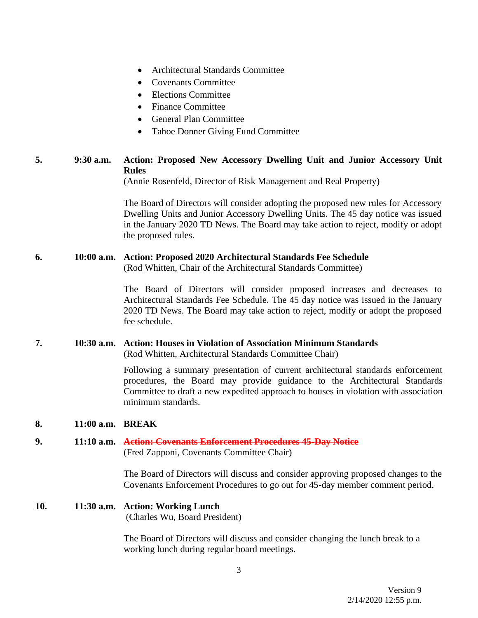- Architectural Standards Committee
- Covenants Committee
- Elections Committee
- Finance Committee
- General Plan Committee
- Tahoe Donner Giving Fund Committee

## **5. 9:30 a.m. Action: Proposed New Accessory Dwelling Unit and Junior Accessory Unit Rules**

(Annie Rosenfeld, Director of Risk Management and Real Property)

The Board of Directors will consider adopting the proposed new rules for Accessory Dwelling Units and Junior Accessory Dwelling Units. The 45 day notice was issued in the January 2020 TD News. The Board may take action to reject, modify or adopt the proposed rules.

#### **6. 10:00 a.m. Action: Proposed 2020 Architectural Standards Fee Schedule**

(Rod Whitten, Chair of the Architectural Standards Committee)

The Board of Directors will consider proposed increases and decreases to Architectural Standards Fee Schedule. The 45 day notice was issued in the January 2020 TD News. The Board may take action to reject, modify or adopt the proposed fee schedule.

#### **7. 10:30 a.m. Action: Houses in Violation of Association Minimum Standards**

(Rod Whitten, Architectural Standards Committee Chair)

Following a summary presentation of current architectural standards enforcement procedures, the Board may provide guidance to the Architectural Standards Committee to draft a new expedited approach to houses in violation with association minimum standards.

#### **8. 11:00 a.m. BREAK**

#### **9. 11:10 a.m. Action: Covenants Enforcement Procedures 45-Day Notice** (Fred Zapponi, Covenants Committee Chair)

The Board of Directors will discuss and consider approving proposed changes to the Covenants Enforcement Procedures to go out for 45-day member comment period.

#### **10. 11:30 a.m. Action: Working Lunch** (Charles Wu, Board President)

The Board of Directors will discuss and consider changing the lunch break to a working lunch during regular board meetings.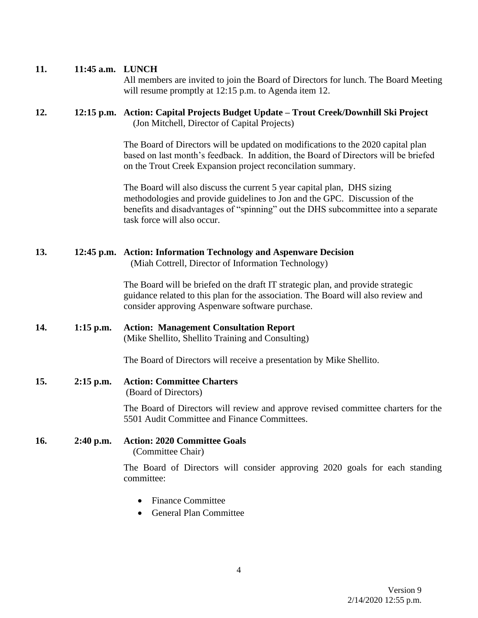## **11. 11:45 a.m. LUNCH**

All members are invited to join the Board of Directors for lunch. The Board Meeting will resume promptly at 12:15 p.m. to Agenda item 12.

## **12. 12:15 p.m. Action: Capital Projects Budget Update – Trout Creek/Downhill Ski Project** (Jon Mitchell, Director of Capital Projects)

The Board of Directors will be updated on modifications to the 2020 capital plan based on last month's feedback. In addition, the Board of Directors will be briefed on the Trout Creek Expansion project reconcilation summary.

The Board will also discuss the current 5 year capital plan, DHS sizing methodologies and provide guidelines to Jon and the GPC. Discussion of the benefits and disadvantages of "spinning" out the DHS subcommittee into a separate task force will also occur.

## **13. 12:45 p.m. Action: Information Technology and Aspenware Decision**

(Miah Cottrell, Director of Information Technology)

The Board will be briefed on the draft IT strategic plan, and provide strategic guidance related to this plan for the association. The Board will also review and consider approving Aspenware software purchase.

**14. 1:15 p.m. Action: Management Consultation Report** (Mike Shellito, Shellito Training and Consulting)

The Board of Directors will receive a presentation by Mike Shellito.

#### **15. 2:15 p.m. Action: Committee Charters**

(Board of Directors)

The Board of Directors will review and approve revised committee charters for the 5501 Audit Committee and Finance Committees.

#### **16. 2:40 p.m. Action: 2020 Committee Goals**

(Committee Chair)

The Board of Directors will consider approving 2020 goals for each standing committee:

- Finance Committee
- General Plan Committee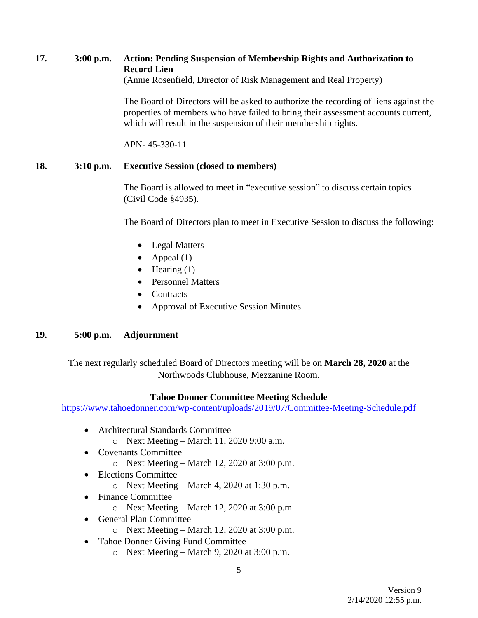# **17. 3:00 p.m. Action: Pending Suspension of Membership Rights and Authorization to Record Lien**

(Annie Rosenfield, Director of Risk Management and Real Property)

The Board of Directors will be asked to authorize the recording of liens against the properties of members who have failed to bring their assessment accounts current, which will result in the suspension of their membership rights.

APN- 45-330-11

# **18. 3:10 p.m. Executive Session (closed to members)**

The Board is allowed to meet in "executive session" to discuss certain topics (Civil Code §4935).

The Board of Directors plan to meet in Executive Session to discuss the following:

- Legal Matters
- Appeal  $(1)$
- Hearing  $(1)$
- Personnel Matters
- Contracts
- Approval of Executive Session Minutes

## **19. 5:00 p.m. Adjournment**

The next regularly scheduled Board of Directors meeting will be on **March 28, 2020** at the Northwoods Clubhouse, Mezzanine Room.

## **Tahoe Donner Committee Meeting Schedule**

<https://www.tahoedonner.com/wp-content/uploads/2019/07/Committee-Meeting-Schedule.pdf>

- Architectural Standards Committee
	- o Next Meeting March 11, 2020 9:00 a.m.
- Covenants Committee
	- $\circ$  Next Meeting March 12, 2020 at 3:00 p.m.
- Elections Committee
	- $\circ$  Next Meeting March 4, 2020 at 1:30 p.m.
- Finance Committee
	- o Next Meeting March 12, 2020 at 3:00 p.m.
- General Plan Committee
	- $\circ$  Next Meeting March 12, 2020 at 3:00 p.m.
- Tahoe Donner Giving Fund Committee
	- $\circ$  Next Meeting March 9, 2020 at 3:00 p.m.